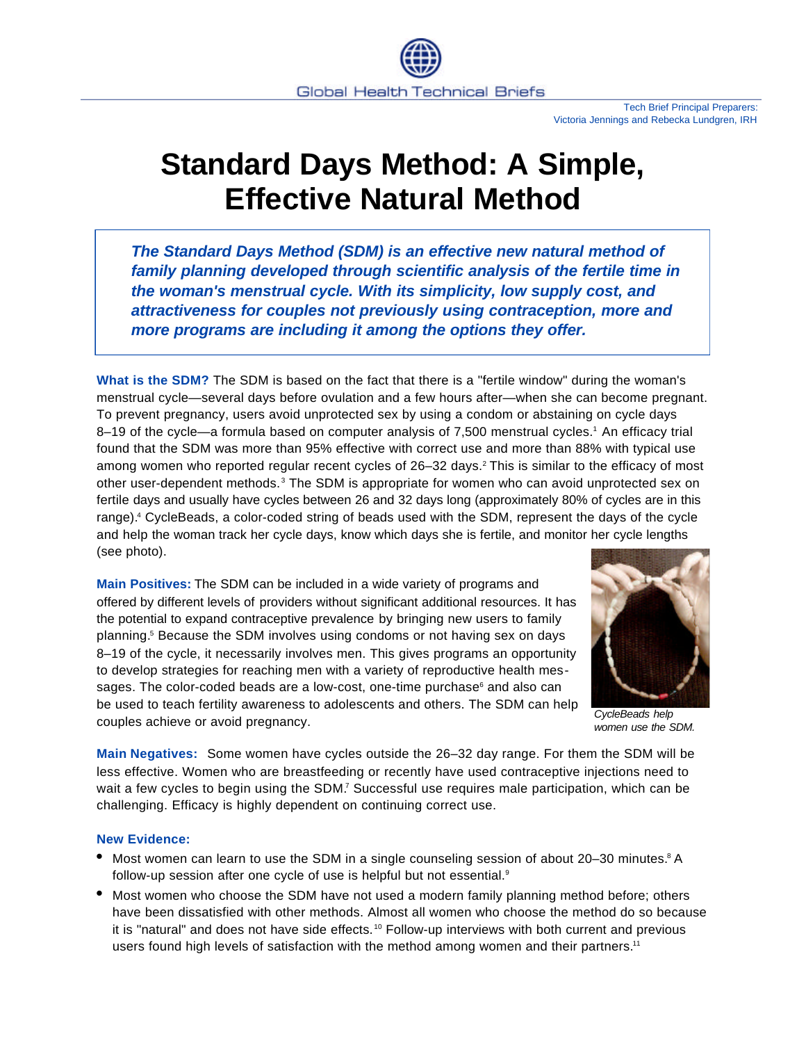

## **Standard Days Method: A Simple, Effective Natural Method**

*The Standard Days Method (SDM) is an effective new natural method of family planning developed through scientific analysis of the fertile time in the woman's menstrual cycle. With its simplicity, low supply cost, and attractiveness for couples not previously using contraception, more and more programs are including it among the options they offer.*

**What is the SDM?** The SDM is based on the fact that there is a "fertile window" during the woman's menstrual cycle—several days before ovulation and a few hours after—when she can become pregnant. To prevent pregnancy, users avoid unprotected sex by using a condom or abstaining on cycle days 8-19 of the cycle—a formula based on computer analysis of 7,500 menstrual cycles.<sup>1</sup> An efficacy trial found that the SDM was more than 95% effective with correct use and more than 88% with typical use among women who reported regular recent cycles of 26–32 days.<sup>2</sup> This is similar to the efficacy of most other user-dependent methods.<sup>3</sup> The SDM is appropriate for women who can avoid unprotected sex on fertile days and usually have cycles between 26 and 32 days long (approximately 80% of cycles are in this range).<sup>4</sup> CycleBeads, a color-coded string of beads used with the SDM, represent the days of the cycle and help the woman track her cycle days, know which days she is fertile, and monitor her cycle lengths (see photo).

**Main Positives:** The SDM can be included in a wide variety of programs and offered by different levels of providers without significant additional resources. It has the potential to expand contraceptive prevalence by bringing new users to family planning.<sup>5</sup> Because the SDM involves using condoms or not having sex on days 8–19 of the cycle, it necessarily involves men. This gives programs an opportunity to develop strategies for reaching men with a variety of reproductive health messages. The color-coded beads are a low-cost, one-time purchase<sup>6</sup> and also can be used to teach fertility awareness to adolescents and others. The SDM can help couples achieve or avoid pregnancy.



*CycleBeads help women use the SDM.*

**Main Negatives:** Some women have cycles outside the 26–32 day range. For them the SDM will be less effective. Women who are breastfeeding or recently have used contraceptive injections need to wait a few cycles to begin using the SDM.<sup>7</sup> Successful use requires male participation, which can be challenging. Efficacy is highly dependent on continuing correct use.

## **New Evidence:**

- $\bullet$  Most women can learn to use the SDM in a single counseling session of about 20–30 minutes.<sup>8</sup> A follow-up session after one cycle of use is helpful but not essential.<sup>9</sup>
- Most women who choose the SDM have not used a modern family planning method before; others have been dissatisfied with other methods. Almost all women who choose the method do so because it is "natural" and does not have side effects. <sup>10</sup> Follow-up interviews with both current and previous users found high levels of satisfaction with the method among women and their partners.<sup>11</sup>